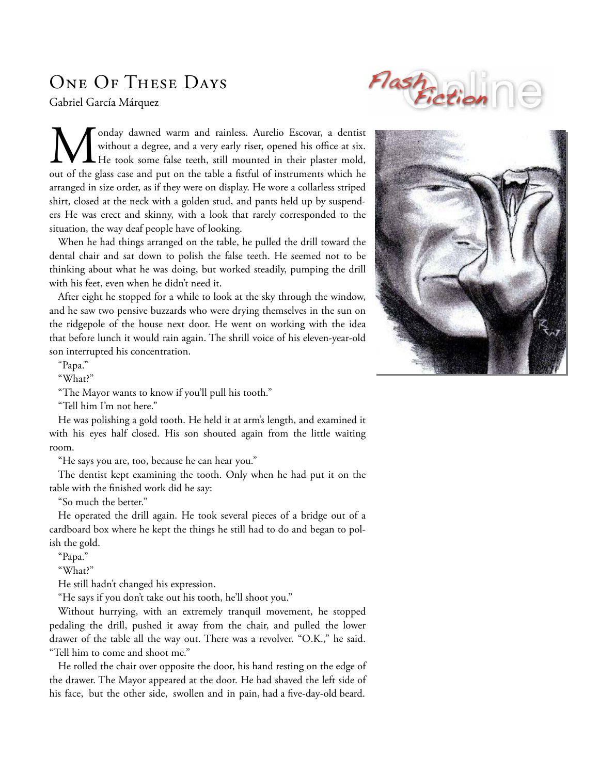## ONE OF THESE DAYS

Gabriel García Márquez



onday dawned warm and rainless. Aurelio Escovar, a dentist without a degree, and a very early riser, opened his office at six. He took some false teeth, still mounted in their plaster mold, M onday dawned warm and rainless. Aurelio Escovar, a dentist without a degree, and a very early riser, opened his office at six.<br>He took some false teeth, still mounted in their plaster mold, out of the glass case and put arranged in size order, as if they were on display. He wore a collarless striped shirt, closed at the neck with a golden stud, and pants held up by suspenders He was erect and skinny, with a look that rarely corresponded to the situation, the way deaf people have of looking.

When he had things arranged on the table, he pulled the drill toward the dental chair and sat down to polish the false teeth. He seemed not to be thinking about what he was doing, but worked steadily, pumping the drill with his feet, even when he didn't need it.

After eight he stopped for a while to look at the sky through the window, and he saw two pensive buzzards who were drying themselves in the sun on the ridgepole of the house next door. He went on working with the idea that before lunch it would rain again. The shrill voice of his eleven-year-old son interrupted his concentration.



"Papa."

"What?"

"The Mayor wants to know if you'll pull his tooth."

"Tell him I'm not here."

He was polishing a gold tooth. He held it at arm's length, and examined it with his eyes half closed. His son shouted again from the little waiting room.

"He says you are, too, because he can hear you."

The dentist kept examining the tooth. Only when he had put it on the table with the finished work did he say:

"So much the better."

He operated the drill again. He took several pieces of a bridge out of a cardboard box where he kept the things he still had to do and began to polish the gold.

"Papa."

"What?"

He still hadn't changed his expression.

"He says if you don't take out his tooth, he'll shoot you."

Without hurrying, with an extremely tranquil movement, he stopped pedaling the drill, pushed it away from the chair, and pulled the lower drawer of the table all the way out. There was a revolver. "O.K.," he said. "Tell him to come and shoot me."

He rolled the chair over opposite the door, his hand resting on the edge of the drawer. The Mayor appeared at the door. He had shaved the left side of his face, but the other side, swollen and in pain, had a five-day-old beard.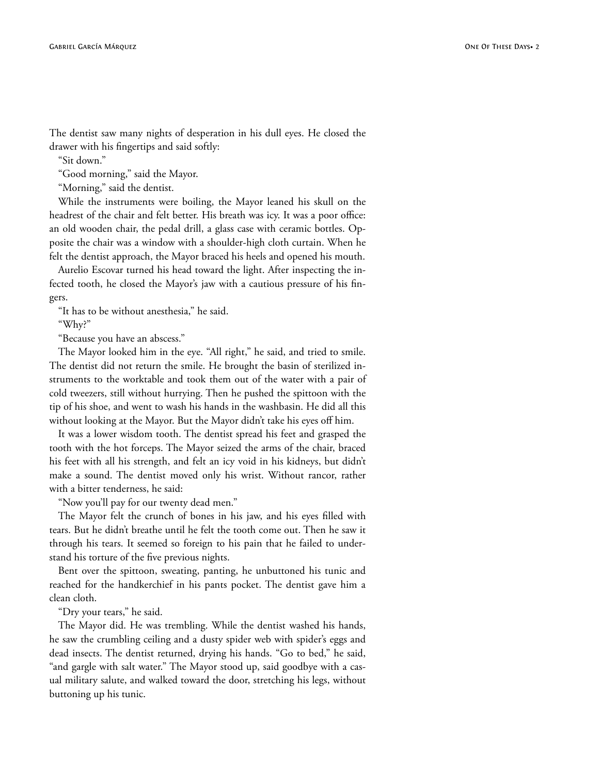The dentist saw many nights of desperation in his dull eyes. He closed the drawer with his fingertips and said softly:

"Sit down."

"Good morning," said the Mayor.

"Morning," said the dentist.

While the instruments were boiling, the Mayor leaned his skull on the headrest of the chair and felt better. His breath was icy. It was a poor office: an old wooden chair, the pedal drill, a glass case with ceramic bottles. Opposite the chair was a window with a shoulder-high cloth curtain. When he felt the dentist approach, the Mayor braced his heels and opened his mouth.

Aurelio Escovar turned his head toward the light. After inspecting the infected tooth, he closed the Mayor's jaw with a cautious pressure of his fingers.

"It has to be without anesthesia," he said.

"Why?"

"Because you have an abscess."

The Mayor looked him in the eye. "All right," he said, and tried to smile. The dentist did not return the smile. He brought the basin of sterilized instruments to the worktable and took them out of the water with a pair of cold tweezers, still without hurrying. Then he pushed the spittoon with the tip of his shoe, and went to wash his hands in the washbasin. He did all this without looking at the Mayor. But the Mayor didn't take his eyes off him.

It was a lower wisdom tooth. The dentist spread his feet and grasped the tooth with the hot forceps. The Mayor seized the arms of the chair, braced his feet with all his strength, and felt an icy void in his kidneys, but didn't make a sound. The dentist moved only his wrist. Without rancor, rather with a bitter tenderness, he said:

"Now you'll pay for our twenty dead men."

The Mayor felt the crunch of bones in his jaw, and his eyes filled with tears. But he didn't breathe until he felt the tooth come out. Then he saw it through his tears. It seemed so foreign to his pain that he failed to understand his torture of the five previous nights.

Bent over the spittoon, sweating, panting, he unbuttoned his tunic and reached for the handkerchief in his pants pocket. The dentist gave him a clean cloth.

"Dry your tears," he said.

The Mayor did. He was trembling. While the dentist washed his hands, he saw the crumbling ceiling and a dusty spider web with spider's eggs and dead insects. The dentist returned, drying his hands. "Go to bed," he said, "and gargle with salt water." The Mayor stood up, said goodbye with a casual military salute, and walked toward the door, stretching his legs, without buttoning up his tunic.